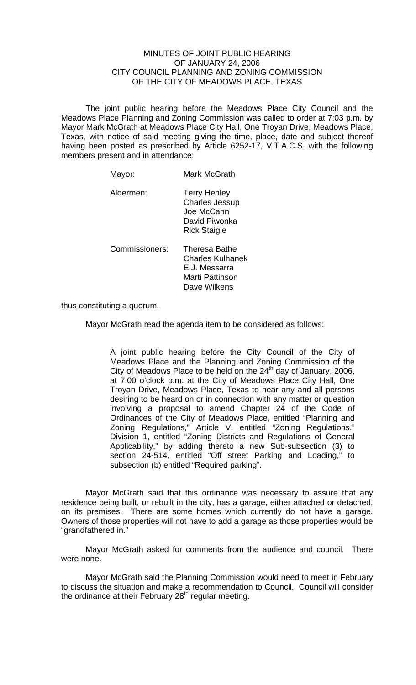## MINUTES OF JOINT PUBLIC HEARING OF JANUARY 24, 2006 CITY COUNCIL PLANNING AND ZONING COMMISSION OF THE CITY OF MEADOWS PLACE, TEXAS

The joint public hearing before the Meadows Place City Council and the Meadows Place Planning and Zoning Commission was called to order at 7:03 p.m. by Mayor Mark McGrath at Meadows Place City Hall, One Troyan Drive, Meadows Place, Texas, with notice of said meeting giving the time, place, date and subject thereof having been posted as prescribed by Article 6252-17, V.T.A.C.S. with the following members present and in attendance:

| Mayor:         | Mark McGrath                                                                                       |
|----------------|----------------------------------------------------------------------------------------------------|
| Aldermen:      | <b>Terry Henley</b><br><b>Charles Jessup</b><br>Joe McCann<br>David Piwonka<br><b>Rick Staigle</b> |
| Commissioners: | Theresa Bathe<br>Charles Kulhanek<br>F.J. Messarra<br>Marti Pattinson<br>Dave Wilkens              |

thus constituting a quorum.

Mayor McGrath read the agenda item to be considered as follows:

A joint public hearing before the City Council of the City of Meadows Place and the Planning and Zoning Commission of the City of Meadows Place to be held on the  $24<sup>th</sup>$  day of January, 2006, at 7:00 o'clock p.m. at the City of Meadows Place City Hall, One Troyan Drive, Meadows Place, Texas to hear any and all persons desiring to be heard on or in connection with any matter or question involving a proposal to amend Chapter 24 of the Code of Ordinances of the City of Meadows Place, entitled "Planning and Zoning Regulations," Article V, entitled "Zoning Regulations," Division 1, entitled "Zoning Districts and Regulations of General Applicability," by adding thereto a new Sub-subsection (3) to section 24-514, entitled "Off street Parking and Loading," to subsection (b) entitled "Required parking".

 Mayor McGrath said that this ordinance was necessary to assure that any residence being built, or rebuilt in the city, has a garage, either attached or detached, on its premises. There are some homes which currently do not have a garage. Owners of those properties will not have to add a garage as those properties would be "grandfathered in."

 Mayor McGrath asked for comments from the audience and council. There were none.

 Mayor McGrath said the Planning Commission would need to meet in February to discuss the situation and make a recommendation to Council. Council will consider the ordinance at their February  $28<sup>th</sup>$  regular meeting.